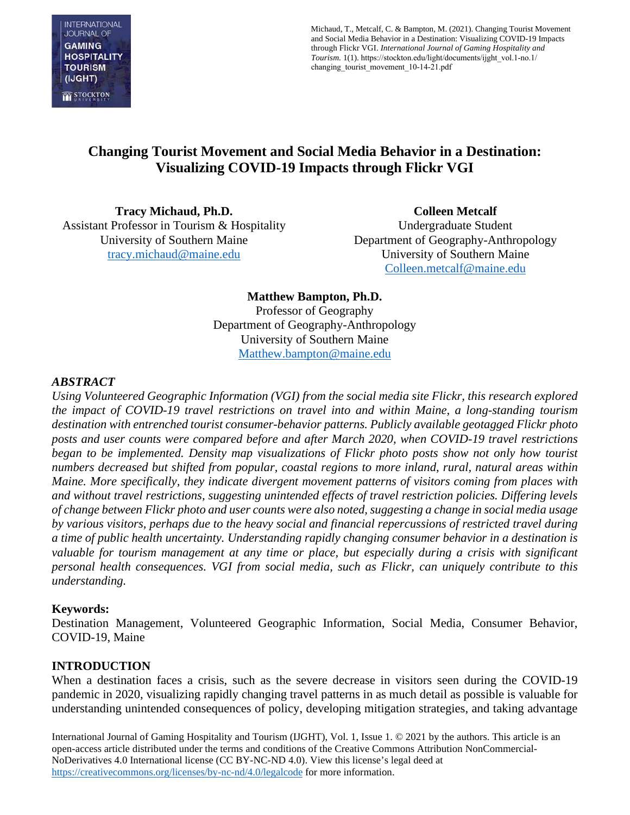

Michaud, T., Metcalf, C. & Bampton, M. (2021). Changing Tourist Movement and Social Media Behavior in a Destination: Visualizing COVID-19 Impacts through Flickr VGI. *International Journal of Gaming Hospitality and Tourism.* 1(1). https://stockton.edu/light/documents/ijght\_vol.1-no.1/ changing tourist movement 10-14-21.pdf

# **Changing Tourist Movement and Social Media Behavior in a Destination: Visualizing COVID-19 Impacts through Flickr VGI**

**Tracy Michaud, Ph.D.**  Assistant Professor in Tourism & Hospitality University of Southern Maine [tracy.michaud@maine.edu](mailto:tracy.michaud@maine.edu)

**Colleen Metcalf** Undergraduate Student Department of Geography-Anthropology University of Southern Maine [Colleen.metcalf@maine.edu](mailto:Colleen.metcalf@maine.edu) 

**Matthew Bampton, Ph.D.**  Professor of Geography Department of Geography-Anthropology University of Southern Maine [Matthew.bampton@maine.edu](mailto:Matthew.bampton@maine.edu) 

#### *ABSTRACT*

*Using Volunteered Geographic Information (VGI) from the social media site Flickr, this research explored the impact of COVID-19 travel restrictions on travel into and within Maine, a long-standing tourism destination with entrenched tourist consumer-behavior patterns. Publicly available geotagged Flickr photo posts and user counts were compared before and after March 2020, when COVID-19 travel restrictions began to be implemented. Density map visualizations of Flickr photo posts show not only how tourist numbers decreased but shifted from popular, coastal regions to more inland, rural, natural areas within Maine. More specifically, they indicate divergent movement patterns of visitors coming from places with and without travel restrictions, suggesting unintended effects of travel restriction policies. Differing levels of change between Flickr photo and user counts were also noted, suggesting a change in social media usage by various visitors, perhaps due to the heavy social and financial repercussions of restricted travel during a time of public health uncertainty. Understanding rapidly changing consumer behavior in a destination is valuable for tourism management at any time or place, but especially during a crisis with significant personal health consequences. VGI from social media, such as Flickr, can uniquely contribute to this understanding.* 

#### **Keywords:**

Destination Management, Volunteered Geographic Information, Social Media, Consumer Behavior, COVID-19, Maine

#### **INTRODUCTION**

When a destination faces a crisis, such as the severe decrease in visitors seen during the COVID-19 pandemic in 2020, visualizing rapidly changing travel patterns in as much detail as possible is valuable for understanding unintended consequences of policy, developing mitigation strategies, and taking advantage

International Journal of Gaming Hospitality and Tourism (IJGHT), Vol. 1, Issue 1. © 2021 by the authors. This article is an open-access article distributed under the terms and conditions of the Creative Commons Attribution NonCommercial-NoDerivatives 4.0 International license (CC BY-NC-ND 4.0). View this license's legal deed at <https://creativecommons.org/licenses/by-nc-nd/4.0/legalcode> for more information.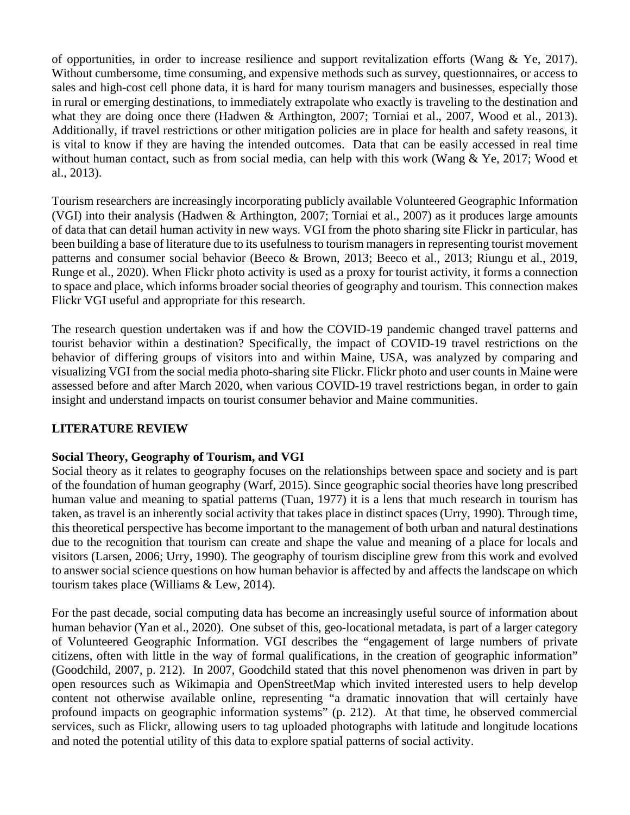of opportunities, in order to increase resilience and support revitalization efforts (Wang & Ye, 2017). Without cumbersome, time consuming, and expensive methods such as survey, questionnaires, or access to sales and high-cost cell phone data, it is hard for many tourism managers and businesses, especially those in rural or emerging destinations, to immediately extrapolate who exactly is traveling to the destination and what they are doing once there (Hadwen & Arthington, 2007; Torniai et al., 2007, Wood et al., 2013). Additionally, if travel restrictions or other mitigation policies are in place for health and safety reasons, it is vital to know if they are having the intended outcomes. Data that can be easily accessed in real time without human contact, such as from social media, can help with this work (Wang & Ye, 2017; Wood et al., 2013).

Tourism researchers are increasingly incorporating publicly available Volunteered Geographic Information (VGI) into their analysis (Hadwen & Arthington, 2007; Torniai et al., 2007) as it produces large amounts of data that can detail human activity in new ways. VGI from the photo sharing site Flickr in particular, has been building a base of literature due to its usefulness to tourism managers in representing tourist movement patterns and consumer social behavior (Beeco & Brown, 2013; Beeco et al., 2013; Riungu et al., 2019, Runge et al., 2020). When Flickr photo activity is used as a proxy for tourist activity, it forms a connection to space and place, which informs broader social theories of geography and tourism. This connection makes Flickr VGI useful and appropriate for this research.

The research question undertaken was if and how the COVID-19 pandemic changed travel patterns and tourist behavior within a destination? Specifically, the impact of COVID-19 travel restrictions on the behavior of differing groups of visitors into and within Maine, USA, was analyzed by comparing and visualizing VGI from the social media photo-sharing site Flickr. Flickr photo and user counts in Maine were assessed before and after March 2020, when various COVID-19 travel restrictions began, in order to gain insight and understand impacts on tourist consumer behavior and Maine communities.

# **LITERATURE REVIEW**

# **Social Theory, Geography of Tourism, and VGI**

Social theory as it relates to geography focuses on the relationships between space and society and is part of the foundation of human geography (Warf, 2015). Since geographic social theories have long prescribed human value and meaning to spatial patterns (Tuan, 1977) it is a lens that much research in tourism has taken, as travel is an inherently social activity that takes place in distinct spaces (Urry, 1990). Through time, this theoretical perspective has become important to the management of both urban and natural destinations due to the recognition that tourism can create and shape the value and meaning of a place for locals and visitors (Larsen, 2006; Urry, 1990). The geography of tourism discipline grew from this work and evolved to answer social science questions on how human behavior is affected by and affects the landscape on which tourism takes place (Williams & Lew, 2014).

For the past decade, social computing data has become an increasingly useful source of information about human behavior (Yan et al., 2020). One subset of this, geo-locational metadata, is part of a larger category of Volunteered Geographic Information. VGI describes the "engagement of large numbers of private citizens, often with little in the way of formal qualifications, in the creation of geographic information" (Goodchild, 2007, p. 212). In 2007, Goodchild stated that this novel phenomenon was driven in part by open resources such as Wikimapia and OpenStreetMap which invited interested users to help develop content not otherwise available online, representing "a dramatic innovation that will certainly have profound impacts on geographic information systems" (p. 212). At that time, he observed commercial services, such as Flickr, allowing users to tag uploaded photographs with latitude and longitude locations and noted the potential utility of this data to explore spatial patterns of social activity.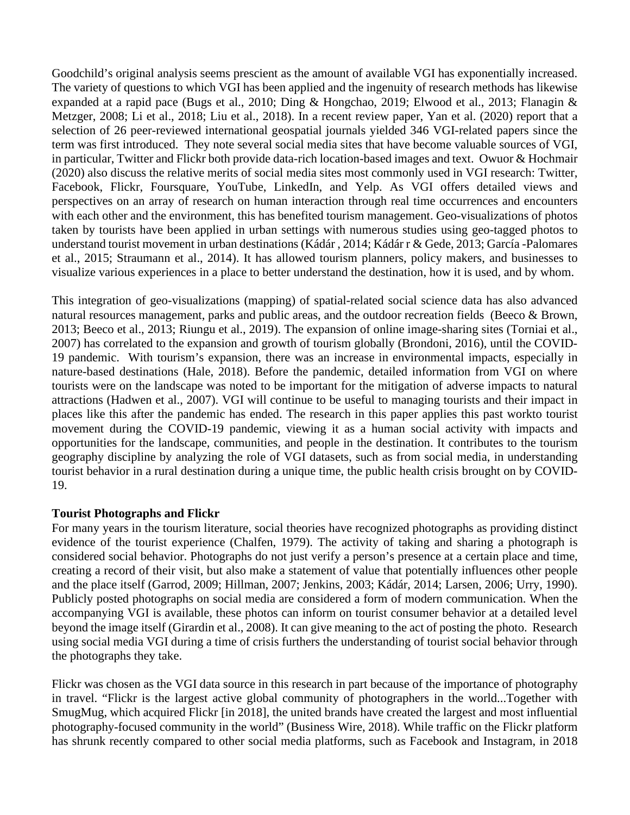Goodchild's original analysis seems prescient as the amount of available VGI has exponentially increased. The variety of questions to which VGI has been applied and the ingenuity of research methods has likewise expanded at a rapid pace (Bugs et al., 2010; Ding & Hongchao, 2019; Elwood et al., 2013; Flanagin & Metzger, 2008; Li et al., 2018; Liu et al., 2018). In a recent review paper, Yan et al. (2020) report that a selection of 26 peer-reviewed international geospatial journals yielded 346 VGI-related papers since the term was first introduced. They note several social media sites that have become valuable sources of VGI, in particular, Twitter and Flickr both provide data-rich location-based images and text. Owuor & Hochmair (2020) also discuss the relative merits of social media sites most commonly used in VGI research: Twitter, Facebook, Flickr, Foursquare, YouTube, LinkedIn, and Yelp. As VGI offers detailed views and perspectives on an array of research on human interaction through real time occurrences and encounters with each other and the environment, this has benefited tourism management. Geo-visualizations of photos taken by tourists have been applied in urban settings with numerous studies using geo-tagged photos to understand tourist movement in urban destinations (Kádár , 2014; Kádár r & Gede, 2013; García -Palomares et al., 2015; Straumann et al., 2014). It has allowed tourism planners, policy makers, and businesses to visualize various experiences in a place to better understand the destination, how it is used, and by whom.

This integration of geo-visualizations (mapping) of spatial-related social science data has also advanced natural resources management, parks and public areas, and the outdoor recreation fields (Beeco & Brown, 2013; Beeco et al., 2013; Riungu et al., 2019). The expansion of online image-sharing sites (Torniai et al., 2007) has correlated to the expansion and growth of tourism globally (Brondoni, 2016), until the COVID-19 pandemic. With tourism's expansion, there was an increase in environmental impacts, especially in nature-based destinations (Hale, 2018). Before the pandemic, detailed information from VGI on where tourists were on the landscape was noted to be important for the mitigation of adverse impacts to natural attractions (Hadwen et al., 2007). VGI will continue to be useful to managing tourists and their impact in places like this after the pandemic has ended. The research in this paper applies this past workto tourist movement during the COVID-19 pandemic, viewing it as a human social activity with impacts and opportunities for the landscape, communities, and people in the destination. It contributes to the tourism geography discipline by analyzing the role of VGI datasets, such as from social media, in understanding tourist behavior in a rural destination during a unique time, the public health crisis brought on by COVID-19.

# **Tourist Photographs and Flickr**

For many years in the tourism literature, social theories have recognized photographs as providing distinct evidence of the tourist experience (Chalfen, 1979). The activity of taking and sharing a photograph is considered social behavior. Photographs do not just verify a person's presence at a certain place and time, creating a record of their visit, but also make a statement of value that potentially influences other people and the place itself (Garrod, 2009; Hillman, 2007; Jenkins, 2003; Kádár, 2014; Larsen, 2006; Urry, 1990). Publicly posted photographs on social media are considered a form of modern communication. When the accompanying VGI is available, these photos can inform on tourist consumer behavior at a detailed level beyond the image itself (Girardin et al., 2008). It can give meaning to the act of posting the photo. Research using social media VGI during a time of crisis furthers the understanding of tourist social behavior through the photographs they take.

Flickr was chosen as the VGI data source in this research in part because of the importance of photography in travel. "Flickr is the largest active global community of photographers in the world...Together with SmugMug, which acquired Flickr [in 2018], the united brands have created the largest and most influential photography-focused community in the world" (Business Wire, 2018). While traffic on the Flickr platform has shrunk recently compared to other social media platforms, such as Facebook and Instagram, in 2018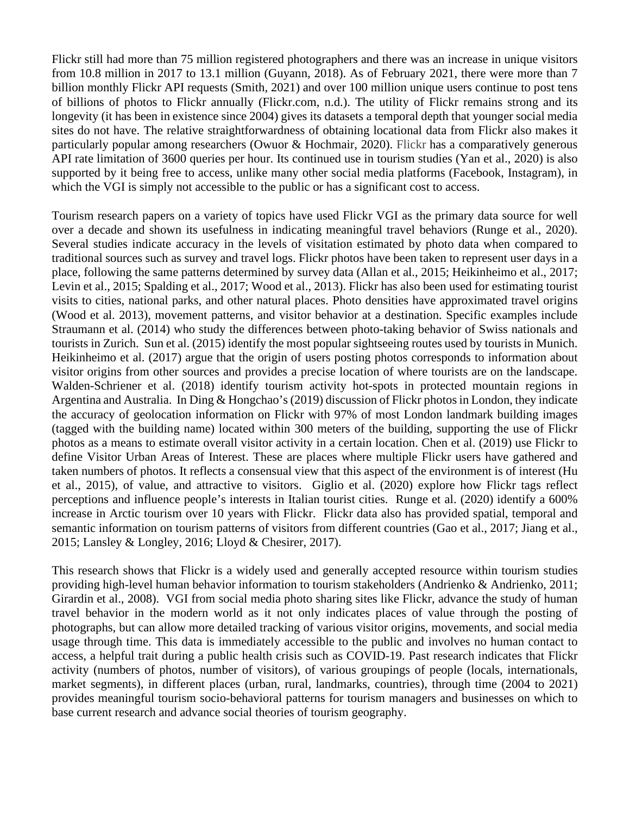Flickr still had more than 75 million registered photographers and there was an increase in unique visitors from 10.8 million in 2017 to 13.1 million (Guyann, 2018). As of February 2021, there were more than 7 billion monthly Flickr API requests (Smith, 2021) and over 100 million unique users continue to post tens of billions of photos to Flickr annually (Flickr.com, n.d.). The utility of Flickr remains strong and its longevity (it has been in existence since 2004) gives its datasets a temporal depth that younger social media sites do not have. The relative straightforwardness of obtaining locational data from Flickr also makes it particularly popular among researchers (Owuor & Hochmair, 2020). Flickr has a comparatively generous API rate limitation of 3600 queries per hour. Its continued use in tourism studies (Yan et al., 2020) is also supported by it being free to access, unlike many other social media platforms (Facebook, Instagram), in which the VGI is simply not accessible to the public or has a significant cost to access.

Tourism research papers on a variety of topics have used Flickr VGI as the primary data source for well over a decade and shown its usefulness in indicating meaningful travel behaviors (Runge et al., 2020). Several studies indicate accuracy in the levels of visitation estimated by photo data when compared to traditional sources such as survey and travel logs. Flickr photos have been taken to represent user days in a place, following the same patterns determined by survey data (Allan et al., 2015; Heikinheimo et al., 2017; Levin et al., 2015; Spalding et al., 2017; Wood et al., 2013). Flickr has also been used for estimating tourist visits to cities, national parks, and other natural places. Photo densities have approximated travel origins (Wood et al. 2013), movement patterns, and visitor behavior at a destination. Specific examples include Straumann et al. (2014) who study the differences between photo-taking behavior of Swiss nationals and tourists in Zurich. Sun et al. (2015) identify the most popular sightseeing routes used by tourists in Munich. Heikinheimo et al. (2017) argue that the origin of users posting photos corresponds to information about visitor origins from other sources and provides a precise location of where tourists are on the landscape. Walden-Schriener et al. (2018) identify tourism activity hot-spots in protected mountain regions in Argentina and Australia. In Ding & Hongchao's (2019) discussion of Flickr photos in London, they indicate the accuracy of geolocation information on Flickr with 97% of most London landmark building images (tagged with the building name) located within 300 meters of the building, supporting the use of Flickr photos as a means to estimate overall visitor activity in a certain location. Chen et al. (2019) use Flickr to define Visitor Urban Areas of Interest. These are places where multiple Flickr users have gathered and taken numbers of photos. It reflects a consensual view that this aspect of the environment is of interest (Hu et al., 2015), of value, and attractive to visitors. Giglio et al. (2020) explore how Flickr tags reflect perceptions and influence people's interests in Italian tourist cities. Runge et al. (2020) identify a 600% increase in Arctic tourism over 10 years with Flickr. Flickr data also has provided spatial, temporal and semantic information on tourism patterns of visitors from different countries (Gao et al., 2017; Jiang et al., 2015; Lansley & Longley, 2016; Lloyd & Chesirer, 2017).

This research shows that Flickr is a widely used and generally accepted resource within tourism studies providing high-level human behavior information to tourism stakeholders (Andrienko & Andrienko, 2011; Girardin et al., 2008). VGI from social media photo sharing sites like Flickr, advance the study of human travel behavior in the modern world as it not only indicates places of value through the posting of photographs, but can allow more detailed tracking of various visitor origins, movements, and social media usage through time. This data is immediately accessible to the public and involves no human contact to access, a helpful trait during a public health crisis such as COVID-19. Past research indicates that Flickr activity (numbers of photos, number of visitors), of various groupings of people (locals, internationals, market segments), in different places (urban, rural, landmarks, countries), through time (2004 to 2021) provides meaningful tourism socio-behavioral patterns for tourism managers and businesses on which to base current research and advance social theories of tourism geography.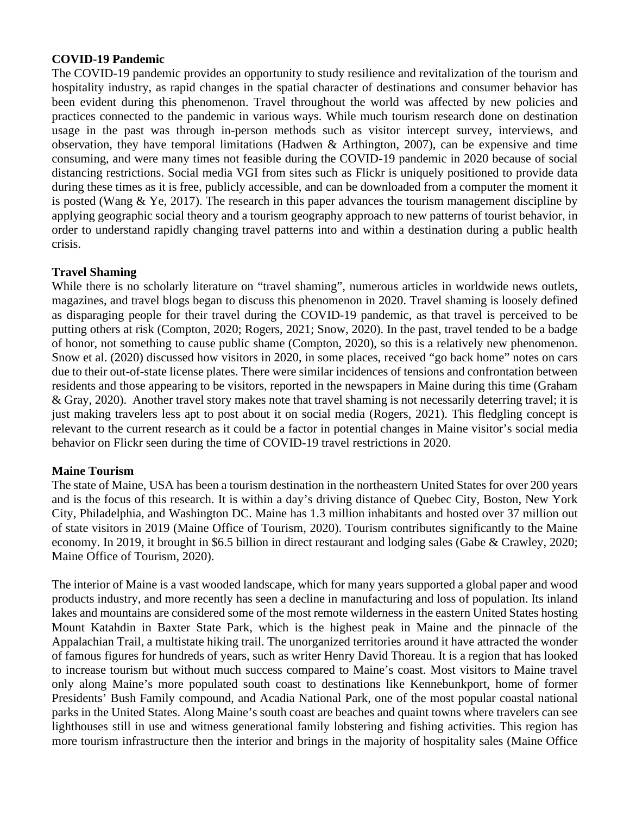#### **COVID-19 Pandemic**

The COVID-19 pandemic provides an opportunity to study resilience and revitalization of the tourism and hospitality industry, as rapid changes in the spatial character of destinations and consumer behavior has been evident during this phenomenon. Travel throughout the world was affected by new policies and practices connected to the pandemic in various ways. While much tourism research done on destination usage in the past was through in-person methods such as visitor intercept survey, interviews, and observation, they have temporal limitations (Hadwen & Arthington, 2007), can be expensive and time consuming, and were many times not feasible during the COVID-19 pandemic in 2020 because of social distancing restrictions. Social media VGI from sites such as Flickr is uniquely positioned to provide data during these times as it is free, publicly accessible, and can be downloaded from a computer the moment it is posted (Wang & Ye, 2017). The research in this paper advances the tourism management discipline by applying geographic social theory and a tourism geography approach to new patterns of tourist behavior, in order to understand rapidly changing travel patterns into and within a destination during a public health crisis.

### **Travel Shaming**

While there is no scholarly literature on "travel shaming", numerous articles in worldwide news outlets, magazines, and travel blogs began to discuss this phenomenon in 2020. Travel shaming is loosely defined as disparaging people for their travel during the COVID-19 pandemic, as that travel is perceived to be putting others at risk (Compton, 2020; Rogers, 2021; Snow, 2020). In the past, travel tended to be a badge of honor, not something to cause public shame (Compton, 2020), so this is a relatively new phenomenon. Snow et al. (2020) discussed how visitors in 2020, in some places, received "go back home" notes on cars due to their out-of-state license plates. There were similar incidences of tensions and confrontation between residents and those appearing to be visitors, reported in the newspapers in Maine during this time (Graham & Gray, 2020). Another travel story makes note that travel shaming is not necessarily deterring travel; it is just making travelers less apt to post about it on social media (Rogers, 2021). This fledgling concept is relevant to the current research as it could be a factor in potential changes in Maine visitor's social media behavior on Flickr seen during the time of COVID-19 travel restrictions in 2020.

#### **Maine Tourism**

The state of Maine, USA has been a tourism destination in the northeastern United States for over 200 years and is the focus of this research. It is within a day's driving distance of Quebec City, Boston, New York City, Philadelphia, and Washington DC. Maine has 1.3 million inhabitants and hosted over 37 million out of state visitors in 2019 (Maine Office of Tourism, 2020). Tourism contributes significantly to the Maine economy. In 2019, it brought in \$6.5 billion in direct restaurant and lodging sales (Gabe & Crawley, 2020; Maine Office of Tourism*,* 2020).

The interior of Maine is a vast wooded landscape, which for many years supported a global paper and wood products industry, and more recently has seen a decline in manufacturing and loss of population. Its inland lakes and mountains are considered some of the most remote wilderness in the eastern United States hosting Mount Katahdin in Baxter State Park, which is the highest peak in Maine and the pinnacle of the Appalachian Trail, a multistate hiking trail. The unorganized territories around it have attracted the wonder of famous figures for hundreds of years, such as writer Henry David Thoreau. It is a region that has looked to increase tourism but without much success compared to Maine's coast. Most visitors to Maine travel only along Maine's more populated south coast to destinations like Kennebunkport, home of former Presidents' Bush Family compound, and Acadia National Park, one of the most popular coastal national parks in the United States. Along Maine's south coast are beaches and quaint towns where travelers can see lighthouses still in use and witness generational family lobstering and fishing activities. This region has more tourism infrastructure then the interior and brings in the majority of hospitality sales (Maine Office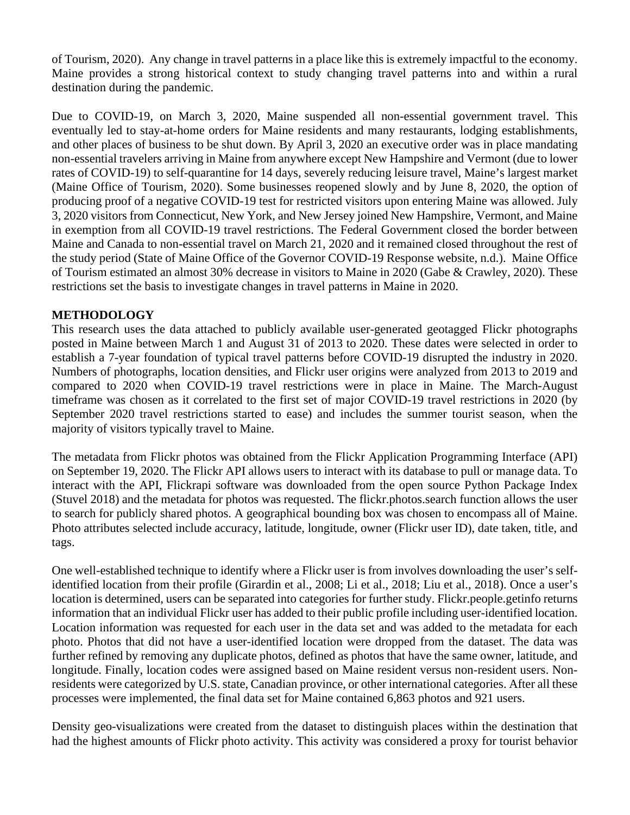of Tourism, 2020). Any change in travel patterns in a place like this is extremely impactful to the economy. Maine provides a strong historical context to study changing travel patterns into and within a rural destination during the pandemic.

Due to COVID-19, on March 3, 2020, Maine suspended all non-essential government travel. This eventually led to stay-at-home orders for Maine residents and many restaurants, lodging establishments, and other places of business to be shut down. By April 3, 2020 an executive order was in place mandating non-essential travelers arriving in Maine from anywhere except New Hampshire and Vermont (due to lower rates of COVID-19) to self-quarantine for 14 days, severely reducing leisure travel, Maine's largest market (Maine Office of Tourism, 2020). Some businesses reopened slowly and by June 8, 2020, the option of producing proof of a negative COVID-19 test for restricted visitors upon entering Maine was allowed. July 3, 2020 visitors from Connecticut, New York, and New Jersey joined New Hampshire, Vermont, and Maine in exemption from all COVID-19 travel restrictions. The Federal Government closed the border between Maine and Canada to non-essential travel on March 21, 2020 and it remained closed throughout the rest of the study period (State of Maine Office of the Governor COVID-19 Response website, n.d.). Maine Office of Tourism estimated an almost 30% decrease in visitors to Maine in 2020 (Gabe & Crawley, 2020). These restrictions set the basis to investigate changes in travel patterns in Maine in 2020.

# **METHODOLOGY**

This research uses the data attached to publicly available user-generated geotagged Flickr photographs posted in Maine between March 1 and August 31 of 2013 to 2020. These dates were selected in order to establish a 7-year foundation of typical travel patterns before COVID-19 disrupted the industry in 2020. Numbers of photographs, location densities, and Flickr user origins were analyzed from 2013 to 2019 and compared to 2020 when COVID-19 travel restrictions were in place in Maine. The March-August timeframe was chosen as it correlated to the first set of major COVID-19 travel restrictions in 2020 (by September 2020 travel restrictions started to ease) and includes the summer tourist season, when the majority of visitors typically travel to Maine.

The metadata from Flickr photos was obtained from the Flickr Application Programming Interface (API) on September 19, 2020. The Flickr API allows users to interact with its database to pull or manage data. To interact with the API, Flickrapi software was downloaded from the open source Python Package Index (Stuvel 2018) and the metadata for photos was requested. The flickr.photos.search function allows the user to search for publicly shared photos. A geographical bounding box was chosen to encompass all of Maine. Photo attributes selected include accuracy, latitude, longitude, owner (Flickr user ID), date taken, title, and tags.

One well-established technique to identify where a Flickr user is from involves downloading the user's selfidentified location from their profile (Girardin et al., 2008; Li et al., 2018; Liu et al., 2018). Once a user's location is determined, users can be separated into categories for further study. Flickr.people.getinfo returns information that an individual Flickr user has added to their public profile including user-identified location. Location information was requested for each user in the data set and was added to the metadata for each photo. Photos that did not have a user-identified location were dropped from the dataset. The data was further refined by removing any duplicate photos, defined as photos that have the same owner, latitude, and longitude. Finally, location codes were assigned based on Maine resident versus non-resident users. Nonresidents were categorized by U.S. state, Canadian province, or other international categories. After all these processes were implemented, the final data set for Maine contained 6,863 photos and 921 users.

Density geo-visualizations were created from the dataset to distinguish places within the destination that had the highest amounts of Flickr photo activity. This activity was considered a proxy for tourist behavior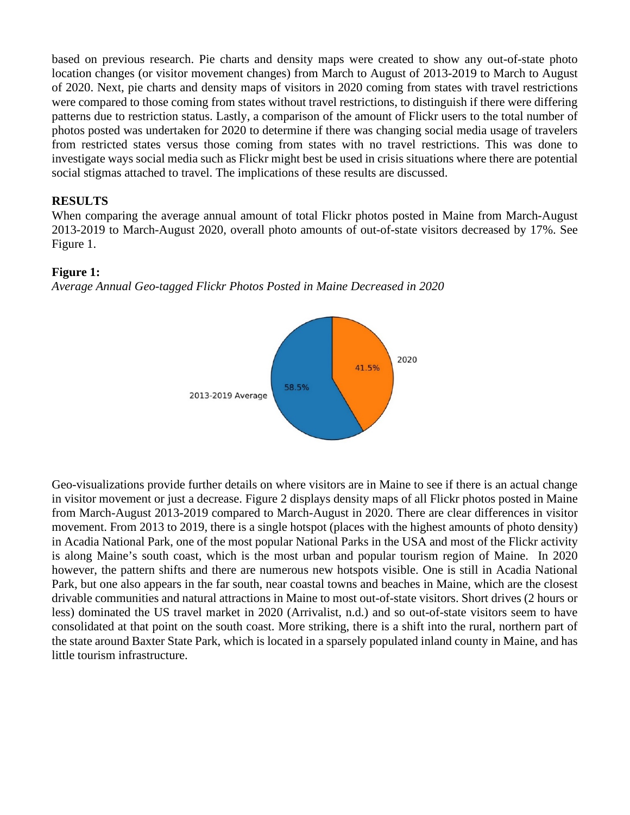based on previous research. Pie charts and density maps were created to show any out-of-state photo location changes (or visitor movement changes) from March to August of 2013-2019 to March to August of 2020. Next, pie charts and density maps of visitors in 2020 coming from states with travel restrictions were compared to those coming from states without travel restrictions, to distinguish if there were differing patterns due to restriction status. Lastly, a comparison of the amount of Flickr users to the total number of photos posted was undertaken for 2020 to determine if there was changing social media usage of travelers from restricted states versus those coming from states with no travel restrictions. This was done to investigate ways social media such as Flickr might best be used in crisis situations where there are potential social stigmas attached to travel. The implications of these results are discussed.

## **RESULTS**

When comparing the average annual amount of total Flickr photos posted in Maine from March-August 2013-2019 to March-August 2020, overall photo amounts of out-of-state visitors decreased by 17%. See Figure 1.

#### **Figure 1:**

*Average Annual Geo-tagged Flickr Photos Posted in Maine Decreased in 2020*



Geo-visualizations provide further details on where visitors are in Maine to see if there is an actual change in visitor movement or just a decrease. Figure 2 displays density maps of all Flickr photos posted in Maine from March-August 2013-2019 compared to March-August in 2020. There are clear differences in visitor movement. From 2013 to 2019, there is a single hotspot (places with the highest amounts of photo density) in Acadia National Park, one of the most popular National Parks in the USA and most of the Flickr activity is along Maine's south coast, which is the most urban and popular tourism region of Maine. In 2020 however, the pattern shifts and there are numerous new hotspots visible. One is still in Acadia National Park, but one also appears in the far south, near coastal towns and beaches in Maine, which are the closest drivable communities and natural attractions in Maine to most out-of-state visitors. Short drives (2 hours or less) dominated the US travel market in 2020 (Arrivalist, n.d.) and so out-of-state visitors seem to have consolidated at that point on the south coast. More striking, there is a shift into the rural, northern part of the state around Baxter State Park, which is located in a sparsely populated inland county in Maine, and has little tourism infrastructure.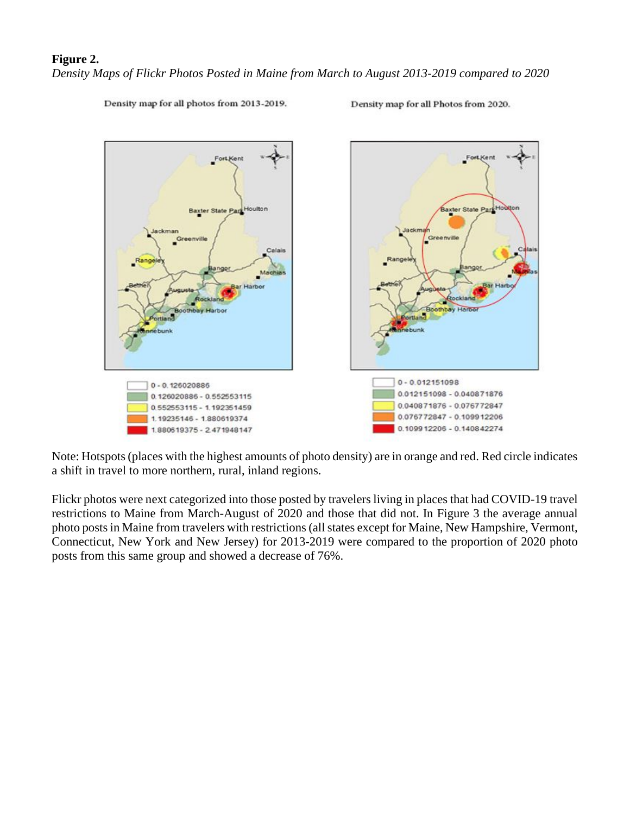## **Figure 2.**

*Density Maps of Flickr Photos Posted in Maine from March to August 2013-2019 compared to 2020*

Density map for all photos from 2013-2019.

Density map for all Photos from 2020.



Note: Hotspots (places with the highest amounts of photo density) are in orange and red. Red circle indicates a shift in travel to more northern, rural, inland regions.

Flickr photos were next categorized into those posted by travelers living in places that had COVID-19 travel restrictions to Maine from March-August of 2020 and those that did not. In Figure 3 the average annual photo posts in Maine from travelers with restrictions (all states except for Maine, New Hampshire, Vermont, Connecticut, New York and New Jersey) for 2013-2019 were compared to the proportion of 2020 photo posts from this same group and showed a decrease of 76%.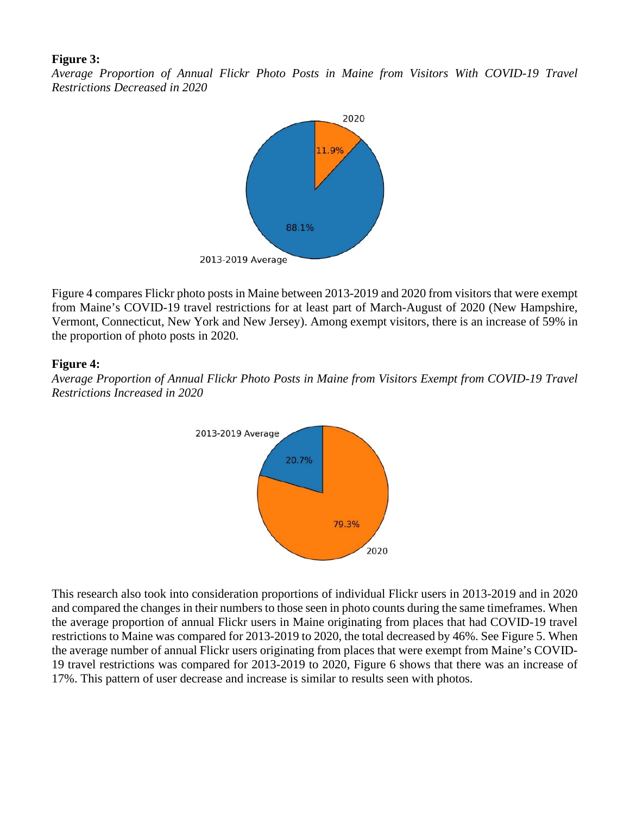#### **Figure 3:**

*Average Proportion of Annual Flickr Photo Posts in Maine from Visitors With COVID-19 Travel Restrictions Decreased in 2020*



Figure 4 compares Flickr photo posts in Maine between 2013-2019 and 2020 from visitors that were exempt from Maine's COVID-19 travel restrictions for at least part of March-August of 2020 (New Hampshire, Vermont, Connecticut, New York and New Jersey). Among exempt visitors, there is an increase of 59% in the proportion of photo posts in 2020.

# **Figure 4:**

*Average Proportion of Annual Flickr Photo Posts in Maine from Visitors Exempt from COVID-19 Travel Restrictions Increased in 2020*



This research also took into consideration proportions of individual Flickr users in 2013-2019 and in 2020 and compared the changes in their numbers to those seen in photo counts during the same timeframes. When the average proportion of annual Flickr users in Maine originating from places that had COVID-19 travel restrictions to Maine was compared for 2013-2019 to 2020, the total decreased by 46%. See Figure 5. When the average number of annual Flickr users originating from places that were exempt from Maine's COVID-19 travel restrictions was compared for 2013-2019 to 2020, Figure 6 shows that there was an increase of 17%. This pattern of user decrease and increase is similar to results seen with photos.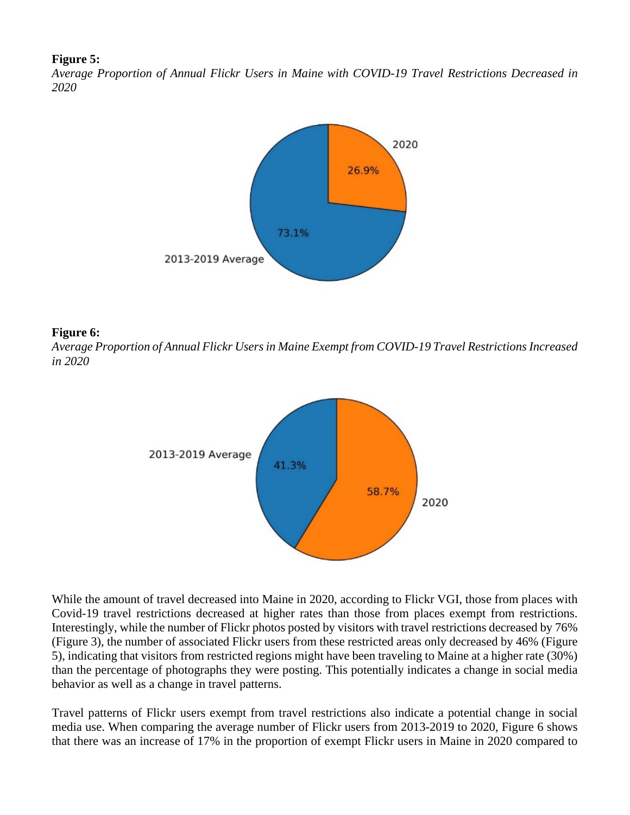#### **Figure 5:**

*Average Proportion of Annual Flickr Users in Maine with COVID-19 Travel Restrictions Decreased in 2020*



#### **Figure 6:**

*Average Proportion of Annual Flickr Usersin Maine Exempt from COVID-19 Travel Restrictions Increased in 2020*



While the amount of travel decreased into Maine in 2020, according to Flickr VGI, those from places with Covid-19 travel restrictions decreased at higher rates than those from places exempt from restrictions. Interestingly, while the number of Flickr photos posted by visitors with travel restrictions decreased by 76% (Figure 3), the number of associated Flickr users from these restricted areas only decreased by 46% (Figure 5), indicating that visitors from restricted regions might have been traveling to Maine at a higher rate (30%) than the percentage of photographs they were posting. This potentially indicates a change in social media behavior as well as a change in travel patterns.

Travel patterns of Flickr users exempt from travel restrictions also indicate a potential change in social media use. When comparing the average number of Flickr users from 2013-2019 to 2020, Figure 6 shows that there was an increase of 17% in the proportion of exempt Flickr users in Maine in 2020 compared to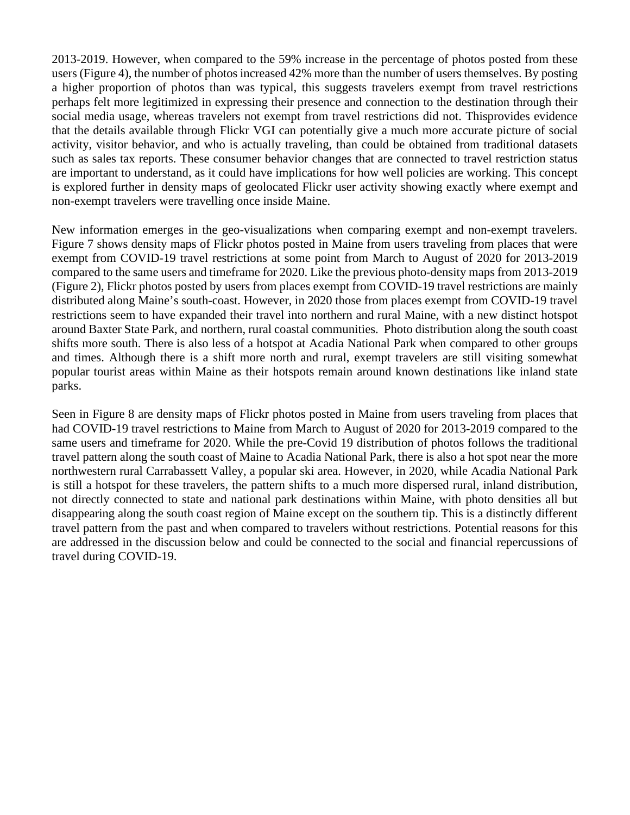2013-2019. However, when compared to the 59% increase in the percentage of photos posted from these users (Figure 4), the number of photos increased 42% more than the number of users themselves. By posting a higher proportion of photos than was typical, this suggests travelers exempt from travel restrictions perhaps felt more legitimized in expressing their presence and connection to the destination through their social media usage, whereas travelers not exempt from travel restrictions did not. Thisprovides evidence that the details available through Flickr VGI can potentially give a much more accurate picture of social activity, visitor behavior, and who is actually traveling, than could be obtained from traditional datasets such as sales tax reports. These consumer behavior changes that are connected to travel restriction status are important to understand, as it could have implications for how well policies are working. This concept is explored further in density maps of geolocated Flickr user activity showing exactly where exempt and non-exempt travelers were travelling once inside Maine.

New information emerges in the geo-visualizations when comparing exempt and non-exempt travelers. Figure 7 shows density maps of Flickr photos posted in Maine from users traveling from places that were exempt from COVID-19 travel restrictions at some point from March to August of 2020 for 2013-2019 compared to the same users and timeframe for 2020. Like the previous photo-density maps from 2013-2019 (Figure 2), Flickr photos posted by users from places exempt from COVID-19 travel restrictions are mainly distributed along Maine's south-coast. However, in 2020 those from places exempt from COVID-19 travel restrictions seem to have expanded their travel into northern and rural Maine, with a new distinct hotspot around Baxter State Park, and northern, rural coastal communities. Photo distribution along the south coast shifts more south. There is also less of a hotspot at Acadia National Park when compared to other groups and times. Although there is a shift more north and rural, exempt travelers are still visiting somewhat popular tourist areas within Maine as their hotspots remain around known destinations like inland state parks.

Seen in Figure 8 are density maps of Flickr photos posted in Maine from users traveling from places that had COVID-19 travel restrictions to Maine from March to August of 2020 for 2013-2019 compared to the same users and timeframe for 2020. While the pre-Covid 19 distribution of photos follows the traditional travel pattern along the south coast of Maine to Acadia National Park, there is also a hot spot near the more northwestern rural Carrabassett Valley, a popular ski area. However, in 2020, while Acadia National Park is still a hotspot for these travelers, the pattern shifts to a much more dispersed rural, inland distribution, not directly connected to state and national park destinations within Maine, with photo densities all but disappearing along the south coast region of Maine except on the southern tip. This is a distinctly different travel pattern from the past and when compared to travelers without restrictions. Potential reasons for this are addressed in the discussion below and could be connected to the social and financial repercussions of travel during COVID-19.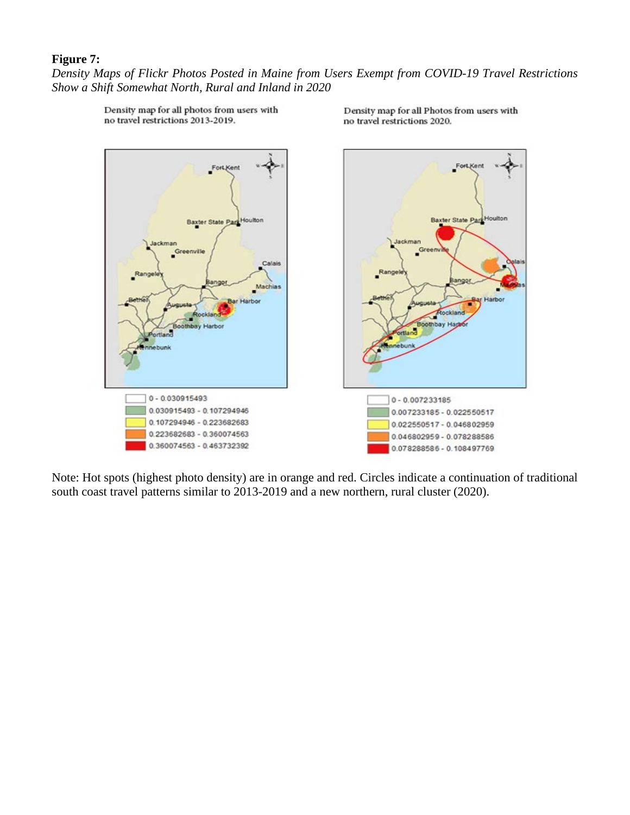# **Figure 7:**

*Density Maps of Flickr Photos Posted in Maine from Users Exempt from COVID-19 Travel Restrictions Show a Shift Somewhat North, Rural and Inland in 2020*



Density map for all photos from users with no travel restrictions 2013-2019.

Density map for all Photos from users with no travel restrictions 2020.

Note: Hot spots (highest photo density) are in orange and red. Circles indicate a continuation of traditional south coast travel patterns similar to 2013-2019 and a new northern, rural cluster (2020).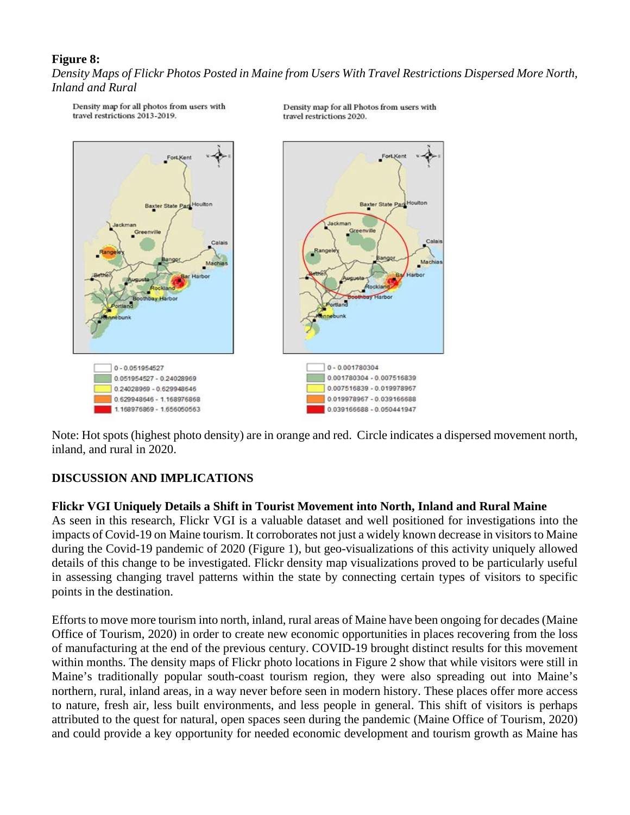# **Figure 8:**

*Density Maps of Flickr Photos Posted in Maine from Users With Travel Restrictions Dispersed More North, Inland and Rural*



Density map for all Photos from users with travel restrictions 2020.

Note: Hot spots (highest photo density) are in orange and red. Circle indicates a dispersed movement north, inland, and rural in 2020.

# **DISCUSSION AND IMPLICATIONS**

Density map for all photos from users with

travel restrictions 2013-2019.

#### **Flickr VGI Uniquely Details a Shift in Tourist Movement into North, Inland and Rural Maine**

As seen in this research, Flickr VGI is a valuable dataset and well positioned for investigations into the impacts of Covid-19 on Maine tourism. It corroborates not just a widely known decrease in visitors to Maine during the Covid-19 pandemic of 2020 (Figure 1), but geo-visualizations of this activity uniquely allowed details of this change to be investigated. Flickr density map visualizations proved to be particularly useful in assessing changing travel patterns within the state by connecting certain types of visitors to specific points in the destination.

Efforts to move more tourism into north, inland, rural areas of Maine have been ongoing for decades (Maine Office of Tourism, 2020) in order to create new economic opportunities in places recovering from the loss of manufacturing at the end of the previous century. COVID-19 brought distinct results for this movement within months. The density maps of Flickr photo locations in Figure 2 show that while visitors were still in Maine's traditionally popular south-coast tourism region, they were also spreading out into Maine's northern, rural, inland areas, in a way never before seen in modern history. These places offer more access to nature, fresh air, less built environments, and less people in general. This shift of visitors is perhaps attributed to the quest for natural, open spaces seen during the pandemic (Maine Office of Tourism, 2020) and could provide a key opportunity for needed economic development and tourism growth as Maine has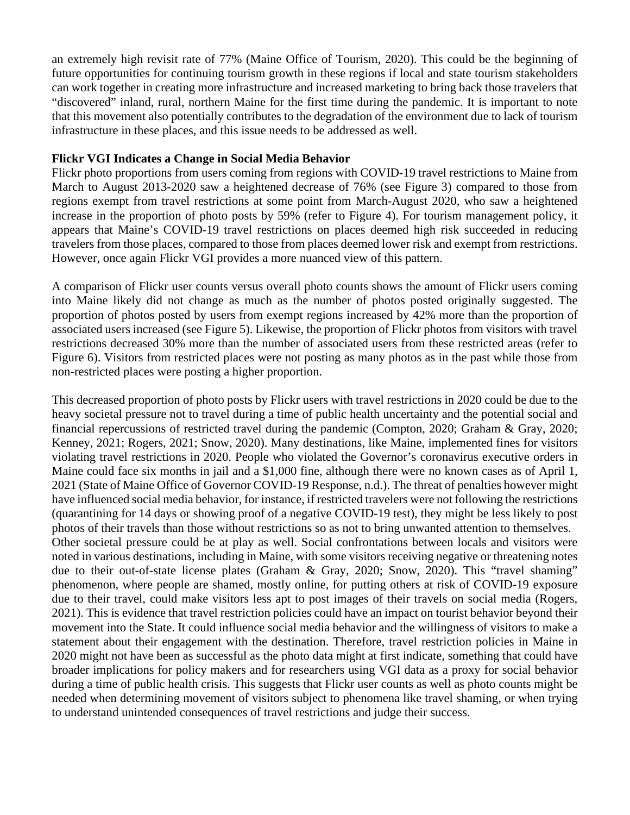an extremely high revisit rate of 77% (Maine Office of Tourism, 2020). This could be the beginning of future opportunities for continuing tourism growth in these regions if local and state tourism stakeholders can work together in creating more infrastructure and increased marketing to bring back those travelers that "discovered" inland, rural, northern Maine for the first time during the pandemic. It is important to note that this movement also potentially contributes to the degradation of the environment due to lack of tourism infrastructure in these places, and this issue needs to be addressed as well.

## **Flickr VGI Indicates a Change in Social Media Behavior**

Flickr photo proportions from users coming from regions with COVID-19 travel restrictions to Maine from March to August 2013-2020 saw a heightened decrease of 76% (see Figure 3) compared to those from regions exempt from travel restrictions at some point from March-August 2020, who saw a heightened increase in the proportion of photo posts by 59% (refer to Figure 4). For tourism management policy, it appears that Maine's COVID-19 travel restrictions on places deemed high risk succeeded in reducing travelers from those places, compared to those from places deemed lower risk and exempt from restrictions. However, once again Flickr VGI provides a more nuanced view of this pattern.

A comparison of Flickr user counts versus overall photo counts shows the amount of Flickr users coming into Maine likely did not change as much as the number of photos posted originally suggested. The proportion of photos posted by users from exempt regions increased by 42% more than the proportion of associated users increased (see Figure 5). Likewise, the proportion of Flickr photos from visitors with travel restrictions decreased 30% more than the number of associated users from these restricted areas (refer to Figure 6). Visitors from restricted places were not posting as many photos as in the past while those from non-restricted places were posting a higher proportion.

This decreased proportion of photo posts by Flickr users with travel restrictions in 2020 could be due to the heavy societal pressure not to travel during a time of public health uncertainty and the potential social and financial repercussions of restricted travel during the pandemic (Compton, 2020; Graham & Gray, 2020; Kenney, 2021; Rogers, 2021; Snow, 2020). Many destinations, like Maine, implemented fines for visitors violating travel restrictions in 2020. People who violated the Governor's coronavirus executive orders in Maine could face six months in jail and a \$1,000 fine, although there were no known cases as of April 1, 2021 (State of Maine Office of Governor COVID-19 Response, n.d.). The threat of penalties however might have influenced social media behavior, for instance, if restricted travelers were not following the restrictions (quarantining for 14 days or showing proof of a negative COVID-19 test), they might be less likely to post photos of their travels than those without restrictions so as not to bring unwanted attention to themselves. Other societal pressure could be at play as well. Social confrontations between locals and visitors were noted in various destinations, including in Maine, with some visitors receiving negative or threatening notes due to their out-of-state license plates (Graham & Gray, 2020; Snow, 2020). This "travel shaming" phenomenon, where people are shamed, mostly online, for putting others at risk of COVID-19 exposure due to their travel, could make visitors less apt to post images of their travels on social media (Rogers, 2021). This is evidence that travel restriction policies could have an impact on tourist behavior beyond their movement into the State. It could influence social media behavior and the willingness of visitors to make a statement about their engagement with the destination. Therefore, travel restriction policies in Maine in 2020 might not have been as successful as the photo data might at first indicate, something that could have broader implications for policy makers and for researchers using VGI data as a proxy for social behavior during a time of public health crisis. This suggests that Flickr user counts as well as photo counts might be needed when determining movement of visitors subject to phenomena like travel shaming, or when trying to understand unintended consequences of travel restrictions and judge their success.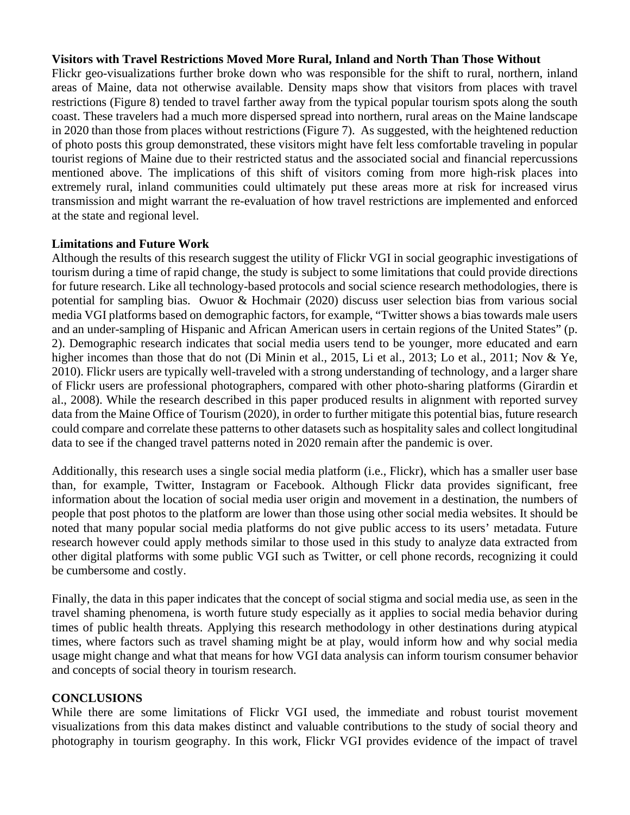### **Visitors with Travel Restrictions Moved More Rural, Inland and North Than Those Without**

Flickr geo-visualizations further broke down who was responsible for the shift to rural, northern, inland areas of Maine, data not otherwise available. Density maps show that visitors from places with travel restrictions (Figure 8) tended to travel farther away from the typical popular tourism spots along the south coast. These travelers had a much more dispersed spread into northern, rural areas on the Maine landscape in 2020 than those from places without restrictions (Figure 7). As suggested, with the heightened reduction of photo posts this group demonstrated, these visitors might have felt less comfortable traveling in popular tourist regions of Maine due to their restricted status and the associated social and financial repercussions mentioned above. The implications of this shift of visitors coming from more high-risk places into extremely rural, inland communities could ultimately put these areas more at risk for increased virus transmission and might warrant the re-evaluation of how travel restrictions are implemented and enforced at the state and regional level.

#### **Limitations and Future Work**

Although the results of this research suggest the utility of Flickr VGI in social geographic investigations of tourism during a time of rapid change, the study is subject to some limitations that could provide directions for future research. Like all technology-based protocols and social science research methodologies, there is potential for sampling bias. Owuor & Hochmair (2020) discuss user selection bias from various social media VGI platforms based on demographic factors, for example, "Twitter shows a bias towards male users and an under-sampling of Hispanic and African American users in certain regions of the United States" (p. 2). Demographic research indicates that social media users tend to be younger, more educated and earn higher incomes than those that do not (Di Minin et al., 2015, Li et al., 2013; Lo et al., 2011; Nov & Ye, 2010). Flickr users are typically well-traveled with a strong understanding of technology, and a larger share of Flickr users are professional photographers, compared with other photo-sharing platforms (Girardin et al., 2008). While the research described in this paper produced results in alignment with reported survey data from the Maine Office of Tourism (2020), in order to further mitigate this potential bias, future research could compare and correlate these patterns to other datasets such as hospitality sales and collect longitudinal data to see if the changed travel patterns noted in 2020 remain after the pandemic is over.

Additionally, this research uses a single social media platform (i.e., Flickr), which has a smaller user base than, for example, Twitter, Instagram or Facebook. Although Flickr data provides significant, free information about the location of social media user origin and movement in a destination, the numbers of people that post photos to the platform are lower than those using other social media websites. It should be noted that many popular social media platforms do not give public access to its users' metadata. Future research however could apply methods similar to those used in this study to analyze data extracted from other digital platforms with some public VGI such as Twitter, or cell phone records, recognizing it could be cumbersome and costly.

Finally, the data in this paper indicates that the concept of social stigma and social media use, as seen in the travel shaming phenomena, is worth future study especially as it applies to social media behavior during times of public health threats. Applying this research methodology in other destinations during atypical times, where factors such as travel shaming might be at play, would inform how and why social media usage might change and what that means for how VGI data analysis can inform tourism consumer behavior and concepts of social theory in tourism research.

#### **CONCLUSIONS**

While there are some limitations of Flickr VGI used, the immediate and robust tourist movement visualizations from this data makes distinct and valuable contributions to the study of social theory and photography in tourism geography. In this work, Flickr VGI provides evidence of the impact of travel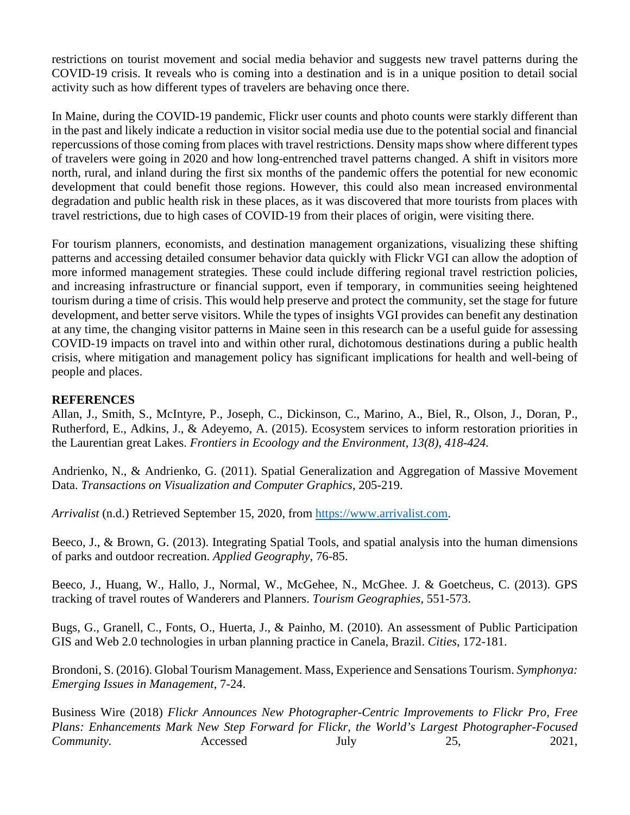restrictions on tourist movement and social media behavior and suggests new travel patterns during the COVID-19 crisis. It reveals who is coming into a destination and is in a unique position to detail social activity such as how different types of travelers are behaving once there.

In Maine, during the COVID-19 pandemic, Flickr user counts and photo counts were starkly different than in the past and likely indicate a reduction in visitor social media use due to the potential social and financial repercussions of those coming from places with travel restrictions. Density maps show where different types of travelers were going in 2020 and how long-entrenched travel patterns changed. A shift in visitors more north, rural, and inland during the first six months of the pandemic offers the potential for new economic development that could benefit those regions. However, this could also mean increased environmental degradation and public health risk in these places, as it was discovered that more tourists from places with travel restrictions, due to high cases of COVID-19 from their places of origin, were visiting there.

For tourism planners, economists, and destination management organizations, visualizing these shifting patterns and accessing detailed consumer behavior data quickly with Flickr VGI can allow the adoption of more informed management strategies. These could include differing regional travel restriction policies, and increasing infrastructure or financial support, even if temporary, in communities seeing heightened tourism during a time of crisis. This would help preserve and protect the community, set the stage for future development, and better serve visitors. While the types of insights VGI provides can benefit any destination at any time, the changing visitor patterns in Maine seen in this research can be a useful guide for assessing COVID-19 impacts on travel into and within other rural, dichotomous destinations during a public health crisis, where mitigation and management policy has significant implications for health and well-being of people and places.

# **REFERENCES**

Allan, J., Smith, S., McIntyre, P., Joseph, C., Dickinson, C., Marino, A., Biel, R., Olson, J., Doran, P., Rutherford, E., Adkins, J., & Adeyemo, A. (2015). Ecosystem services to inform restoration priorities in the Laurentian great Lakes. *Frontiers in Ecoology and the Environment, 13(8), 418-424.*

Andrienko, N., & Andrienko, G. (2011). Spatial Generalization and Aggregation of Massive Movement Data. *Transactions on Visualization and Computer Graphics*, 205-219.

*Arrivalist* (n.d.) Retrieved September 15, 2020, from [https://www.arrivalist.com.](https://www.arrivalist.com/)

Beeco, J., & Brown, G. (2013). Integrating Spatial Tools, and spatial analysis into the human dimensions of parks and outdoor recreation. *Applied Geography*, 76-85.

Beeco, J., Huang, W., Hallo, J., Normal, W., McGehee, N., McGhee. J. & Goetcheus, C. (2013). GPS tracking of travel routes of Wanderers and Planners. *Tourism Geographies*, 551-573.

Bugs, G., Granell, C., Fonts, O., Huerta, J., & Painho, M. (2010). An assessment of Public Participation GIS and Web 2.0 technologies in urban planning practice in Canela, Brazil. *Cities*, 172-181.

Brondoni, S. (2016). Global Tourism Management. Mass, Experience and Sensations Tourism. *Symphonya: Emerging Issues in Management*, 7-24.

Business Wire (2018) *Flickr Announces New Photographer-Centric Improvements to Flickr Pro, Free Plans: Enhancements Mark New Step Forward for Flickr, the World's Largest Photographer-Focused Community.* **Accessed** July 25, 2021,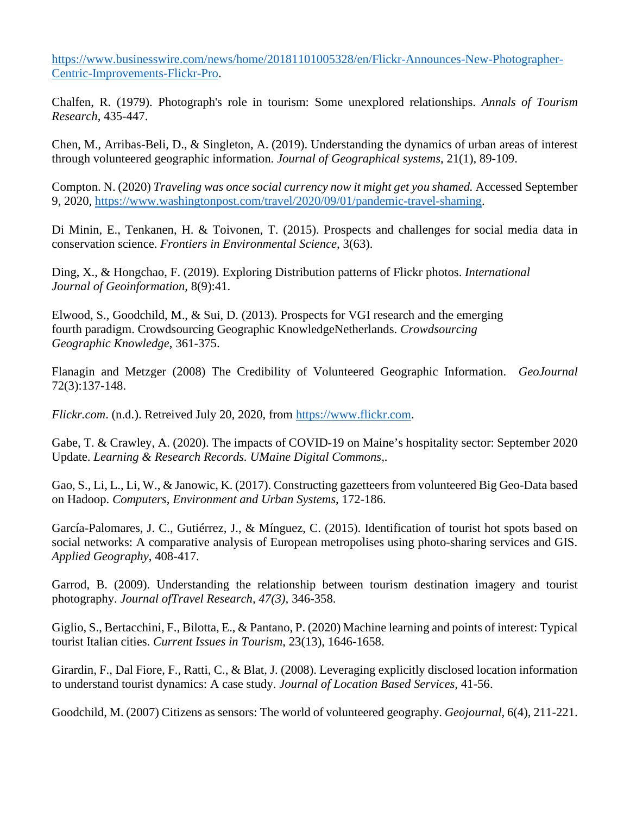[https://www.businesswire.com/news/home/20181101005328/en/Flickr-Announces-New-Photographer-](https://www.businesswire.com/news/home/20181101005328/en/Flickr-Announces-New-Photographer-Centric-Improvements-Flickr-Pro)[Centric-Improvements-Flickr-Pro.](https://www.businesswire.com/news/home/20181101005328/en/Flickr-Announces-New-Photographer-Centric-Improvements-Flickr-Pro)

Chalfen, R. (1979). Photograph's role in tourism: Some unexplored relationships. *Annals of Tourism Research*, 435-447.

Chen, M., Arribas-Beli, D., & Singleton, A. (2019). Understanding the dynamics of urban areas of interest through volunteered geographic information. *Journal of Geographical systems*, 21(1), 89-109.

Compton. N. (2020) *Traveling was once social currency now it might get you shamed.* Accessed September 9, 2020, [https://www.washingtonpost.com/travel/2020/09/01/pandemic-travel-shaming.](https://www.washingtonpost.com/travel/2020/09/01/pandemic-travel-shaming)

Di Minin, E., Tenkanen, H. & Toivonen, T. (2015). Prospects and challenges for social media data in conservation science. *Frontiers in Environmental Science*, 3(63).

Ding, X., & Hongchao, F. (2019). Exploring Distribution patterns of Flickr photos. *International Journal of Geoinformation*, 8(9):41.

Elwood, S., Goodchild, M., & Sui, D. (2013). Prospects for VGI research and the emerging fourth paradigm. Crowdsourcing Geographic KnowledgeNetherlands. *Crowdsourcing Geographic Knowledge*, 361-375.

Flanagin and Metzger (2008) The Credibility of Volunteered Geographic Information. *GeoJournal*  72(3):137-148.

*Flickr.com*. (n.d.). Retreived July 20, 2020, from [https://www.flickr.com.](https://www.flickr.com/)

Gabe, T. & Crawley, A. (2020). The impacts of COVID-19 on Maine's hospitality sector: September 2020 Update. *Learning & Research Records. UMaine Digital Commons,*.

Gao, S., Li, L., Li, W., & Janowic, K. (2017). Constructing gazetteers from volunteered Big Geo-Data based on Hadoop. *Computers, Environment and Urban Systems*, 172-186.

García-Palomares, J. C., Gutiérrez, J., & Mínguez, C. (2015). Identification of tourist hot spots based on social networks: A comparative analysis of European metropolises using photo-sharing services and GIS. *Applied Geography*, 408-417.

Garrod, B. (2009). Understanding the relationship between tourism destination imagery and tourist photography. *Journal ofTravel Research, 47(3),* 346-358.

Giglio, S., Bertacchini, F., Bilotta, E., & Pantano, P. (2020) Machine learning and points of interest: Typical tourist Italian cities. *Current Issues in Tourism*, 23(13), 1646-1658.

Girardin, F., Dal Fiore, F., Ratti, C., & Blat, J. (2008). Leveraging explicitly disclosed location information to understand tourist dynamics: A case study. *Journal of Location Based Services*, 41-56.

Goodchild, M. (2007) Citizens as sensors: The world of volunteered geography. *Geojournal,* 6(4), 211-221.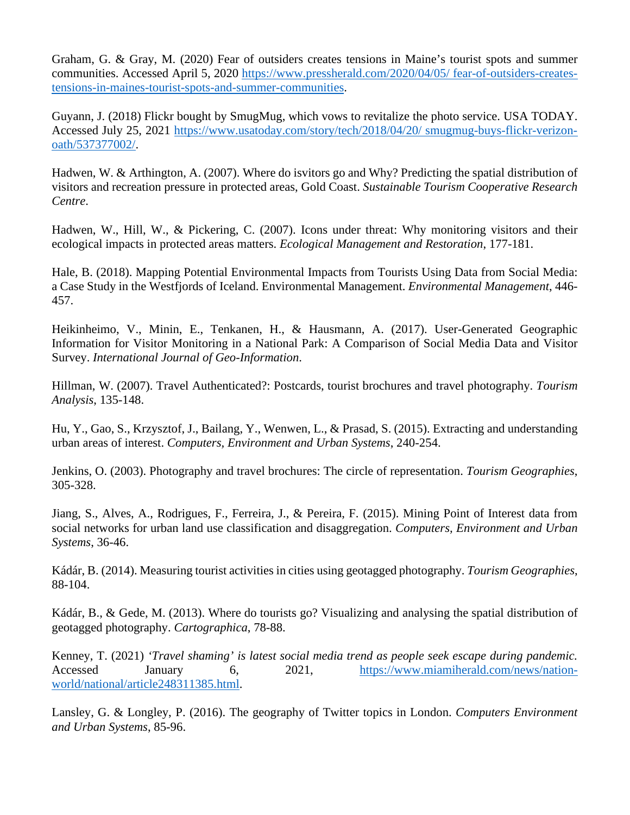Graham, G. & Gray, M. (2020) Fear of outsiders creates tensions in Maine's tourist spots and summer communities. Accessed April 5, 2020 [https://www.pressherald.com/2020/04/05/ fear-of-outsiders-creates](https://www.pressherald.com/2020/04/05/%20fear-of-outsiders-creates-tensions-in-maines-tourist-spots-and-summer-communities)[tensions-in-maines-tourist-spots-and-summer-communities.](https://www.pressherald.com/2020/04/05/%20fear-of-outsiders-creates-tensions-in-maines-tourist-spots-and-summer-communities)

Guyann, J. (2018) Flickr bought by SmugMug, which vows to revitalize the photo service. USA TODAY. Accessed July 25, 2021 [https://www.usatoday.com/story/tech/2018/04/20/ smugmug-buys-flickr-verizon](https://www.usatoday.com/story/tech/2018/04/20/%20smugmug-buys-flickr-verizon-oath/537377002/)[oath/537377002/.](https://www.usatoday.com/story/tech/2018/04/20/%20smugmug-buys-flickr-verizon-oath/537377002/)

Hadwen, W. & Arthington, A. (2007). Where do isvitors go and Why? Predicting the spatial distribution of visitors and recreation pressure in protected areas, Gold Coast. *Sustainable Tourism Cooperative Research Centre*.

Hadwen, W., Hill, W., & Pickering, C. (2007). Icons under threat: Why monitoring visitors and their ecological impacts in protected areas matters. *Ecological Management and Restoration*, 177-181.

Hale, B. (2018). Mapping Potential Environmental Impacts from Tourists Using Data from Social Media: a Case Study in the Westfjords of Iceland. Environmental Management. *Environmental Management*, 446- 457.

Heikinheimo, V., Minin, E., Tenkanen, H., & Hausmann, A. (2017). User-Generated Geographic Information for Visitor Monitoring in a National Park: A Comparison of Social Media Data and Visitor Survey. *International Journal of Geo-Information*.

Hillman, W. (2007). Travel Authenticated?: Postcards, tourist brochures and travel photography. *Tourism Analysis*, 135-148.

Hu, Y., Gao, S., Krzysztof, J., Bailang, Y., Wenwen, L., & Prasad, S. (2015). Extracting and understanding urban areas of interest. *Computers, Environment and Urban Systems*, 240-254.

Jenkins, O. (2003). Photography and travel brochures: The circle of representation. *Tourism Geographies*, 305-328.

Jiang, S., Alves, A., Rodrigues, F., Ferreira, J., & Pereira, F. (2015). Mining Point of Interest data from social networks for urban land use classification and disaggregation. *Computers, Environment and Urban Systems*, 36-46.

Kádár, B. (2014). Measuring tourist activities in cities using geotagged photography. *Tourism Geographies*, 88-104.

Kádár, B., & Gede, M. (2013). Where do tourists go? Visualizing and analysing the spatial distribution of geotagged photography. *Cartographica*, 78-88.

Kenney, T. (2021) *'Travel shaming' is latest social media trend as people seek escape during pandemic.*  Accessed January 6, 2021, [https://www.miamiherald.com/news/nation](https://www.miamiherald.com/news/nation-world/national/article248311385.html)[world/national/article248311385.html.](https://www.miamiherald.com/news/nation-world/national/article248311385.html)

Lansley, G. & Longley, P. (2016). The geography of Twitter topics in London. *Computers Environment and Urban Systems*, 85-96.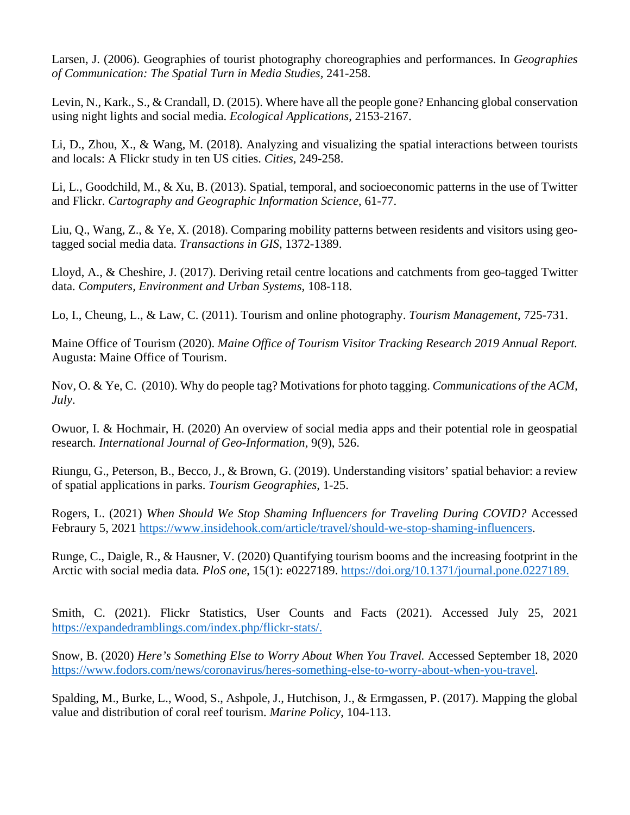Larsen, J. (2006). Geographies of tourist photography choreographies and performances. In *Geographies of Communication: The Spatial Turn in Media Studies,* 241-258.

Levin, N., Kark., S., & Crandall, D. (2015). Where have all the people gone? Enhancing global conservation using night lights and social media. *Ecological Applications*, 2153-2167.

Li, D., Zhou, X., & Wang, M. (2018). Analyzing and visualizing the spatial interactions between tourists and locals: A Flickr study in ten US cities. *Cities*, 249-258.

Li, L., Goodchild, M., & Xu, B. (2013). Spatial, temporal, and socioeconomic patterns in the use of Twitter and Flickr. *Cartography and Geographic Information Science*, 61-77.

Liu, Q., Wang, Z., & Ye, X. (2018). Comparing mobility patterns between residents and visitors using geotagged social media data. *Transactions in GIS*, 1372-1389.

Lloyd, A., & Cheshire, J. (2017). Deriving retail centre locations and catchments from geo-tagged Twitter data. *Computers, Environment and Urban Systems*, 108-118.

Lo, I., Cheung, L., & Law, C. (2011). Tourism and online photography. *Tourism Management*, 725-731.

Maine Office of Tourism (2020). *Maine Office of Tourism Visitor Tracking Research 2019 Annual Report.* Augusta: Maine Office of Tourism.

Nov, O. & Ye, C. (2010). Why do people tag? Motivations for photo tagging. *Communications of the ACM, July*.

Owuor, I. & Hochmair, H. (2020) An overview of social media apps and their potential role in geospatial research. *International Journal of Geo-Information*, 9(9), 526.

Riungu, G., Peterson, B., Becco, J., & Brown, G. (2019). Understanding visitors' spatial behavior: a review of spatial applications in parks. *Tourism Geographies*, 1-25.

Rogers, L. (2021) *When Should We Stop Shaming Influencers for Traveling During COVID?* Accessed Febraury 5, 2021 [https://www.insidehook.com/article/travel/should-we-stop-shaming-influencers.](https://www.insidehook.com/article/travel/should-we-stop-shaming-influencers)

Runge, C., Daigle, R., & Hausner, V. (2020) Quantifying tourism booms and the increasing footprint in the Arctic with social media data*. PloS one*, 15(1): e0227189. [https://doi.org/10.1371/journal.pone.0227189.](https://doi.org/10.1371/journal.pone.0227189)

Smith, C. (2021). Flickr Statistics, User Counts and Facts (2021). Accessed July 25, 2021 [https://expandedramblings.com/index.php/flickr-stats/.](https://expandedramblings.com/index.php/flickr-stats/)

Snow, B. (2020) *Here's Something Else to Worry About When You Travel.* Accessed September 18, 2020 [https://www.fodors.com/news/coronavirus/heres-something-else-to-worry-about-when-you-travel.](https://www.fodors.com/news/coronavirus/heres-something-else-to-worry-about-when-you-travel)

Spalding, M., Burke, L., Wood, S., Ashpole, J., Hutchison, J., & Ermgassen, P. (2017). Mapping the global value and distribution of coral reef tourism. *Marine Policy*, 104-113.